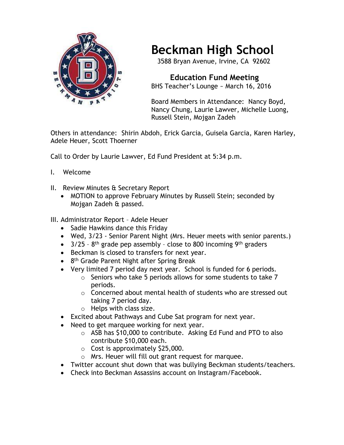

## **Beckman High School**

3588 Bryan Avenue, Irvine, CA 92602

 **Education Fund Meeting** BHS Teacher's Lounge ~ March 16, 2016

Board Members in Attendance: Nancy Boyd, Nancy Chung, Laurie Lawver, Michelle Luong, Russell Stein, Mojgan Zadeh

Others in attendance: Shirin Abdoh, Erick Garcia, Guisela Garcia, Karen Harley, Adele Heuer, Scott Thoerner

Call to Order by Laurie Lawver, Ed Fund President at 5:34 p.m.

- I. Welcome
- II. Review Minutes & Secretary Report
	- MOTION to approve February Minutes by Russell Stein; seconded by Mojgan Zadeh & passed.

## III. Administrator Report – Adele Heuer

- Sadie Hawkins dance this Friday
- Wed, 3/23 Senior Parent Night (Mrs. Heuer meets with senior parents.)
- $\bullet$  3/25 8<sup>th</sup> grade pep assembly close to 800 incoming 9<sup>th</sup> graders
- Beckman is closed to transfers for next year.
- 8<sup>th</sup> Grade Parent Night after Spring Break
- Very limited 7 period day next year. School is funded for 6 periods.
	- $\circ$  Seniors who take 5 periods allows for some students to take 7 periods.
	- o Concerned about mental health of students who are stressed out taking 7 period day.
	- $\circ$  Helps with class size.
- Excited about Pathways and Cube Sat program for next year.
- Need to get marquee working for next year.
	- o ASB has \$10,000 to contribute. Asking Ed Fund and PTO to also contribute \$10,000 each.
	- $\circ$  Cost is approximately \$25,000.
	- o Mrs. Heuer will fill out grant request for marquee.
- Twitter account shut down that was bullying Beckman students/teachers.
- Check into Beckman Assassins account on Instagram/Facebook.